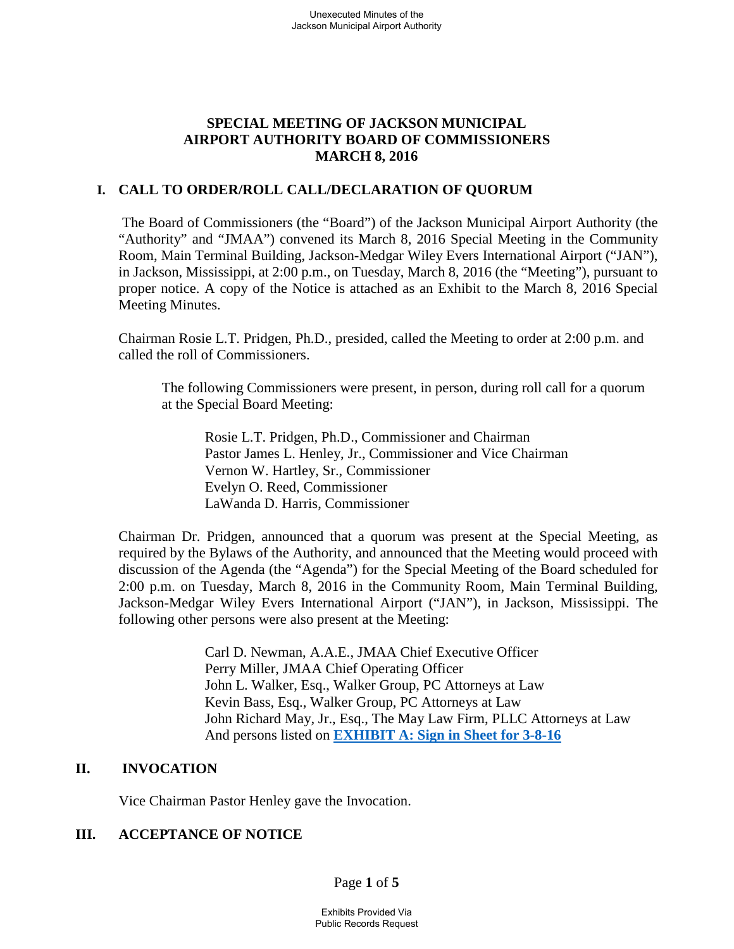# **SPECIAL MEETING OF JACKSON MUNICIPAL AIRPORT AUTHORITY BOARD OF COMMISSIONERS MARCH 8, 2016**

## **I. CALL TO ORDER/ROLL CALL/DECLARATION OF QUORUM**

The Board of Commissioners (the "Board") of the Jackson Municipal Airport Authority (the "Authority" and "JMAA") convened its March 8, 2016 Special Meeting in the Community Room, Main Terminal Building, Jackson-Medgar Wiley Evers International Airport ("JAN"), in Jackson, Mississippi, at 2:00 p.m., on Tuesday, March 8, 2016 (the "Meeting"), pursuant to proper notice. A copy of the Notice is attached as an Exhibit to the March 8, 2016 Special Meeting Minutes.

Chairman Rosie L.T. Pridgen, Ph.D., presided, called the Meeting to order at 2:00 p.m. and called the roll of Commissioners.

The following Commissioners were present, in person, during roll call for a quorum at the Special Board Meeting:

Rosie L.T. Pridgen, Ph.D., Commissioner and Chairman Pastor James L. Henley, Jr., Commissioner and Vice Chairman Vernon W. Hartley, Sr., Commissioner Evelyn O. Reed, Commissioner LaWanda D. Harris, Commissioner

Chairman Dr. Pridgen, announced that a quorum was present at the Special Meeting, as required by the Bylaws of the Authority, and announced that the Meeting would proceed with discussion of the Agenda (the "Agenda") for the Special Meeting of the Board scheduled for 2:00 p.m. on Tuesday, March 8, 2016 in the Community Room, Main Terminal Building, Jackson-Medgar Wiley Evers International Airport ("JAN"), in Jackson, Mississippi. The following other persons were also present at the Meeting:

> Carl D. Newman, A.A.E., JMAA Chief Executive Officer Perry Miller, JMAA Chief Operating Officer John L. Walker, Esq., Walker Group, PC Attorneys at Law Kevin Bass, Esq., Walker Group, PC Attorneys at Law John Richard May, Jr., Esq., The May Law Firm, PLLC Attorneys at Law And persons listed on **EXHIBIT A: Sign in Sheet for 3-8-16**

# **II. INVOCATION**

Vice Chairman Pastor Henley gave the Invocation.

# **III. ACCEPTANCE OF NOTICE**

Page **1** of **5**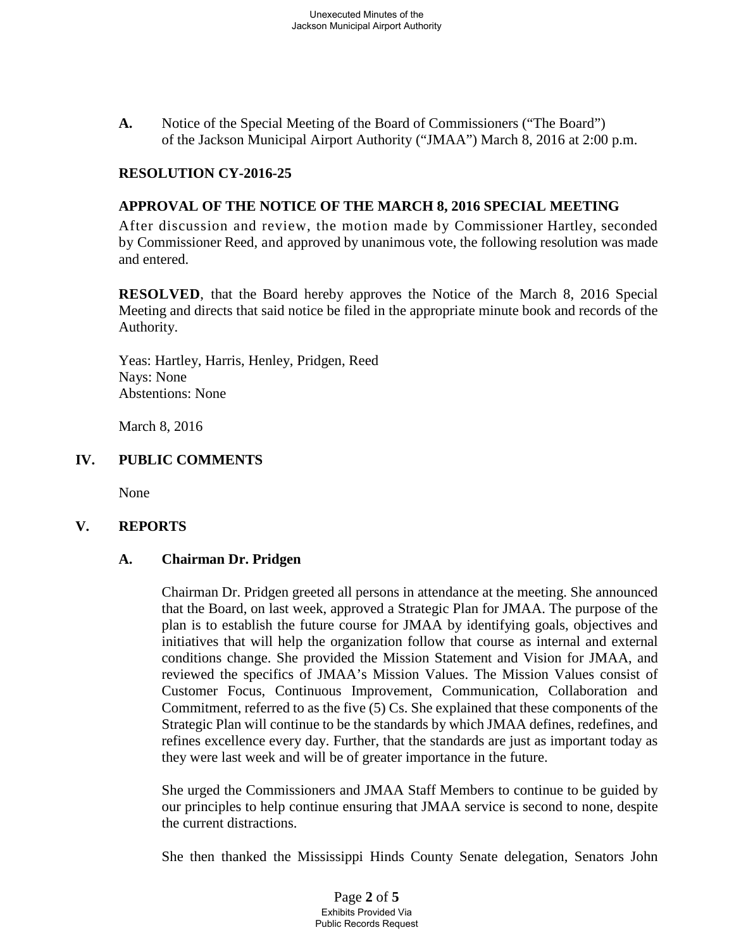**A.** Notice of the Special Meeting of the Board of Commissioners ("The Board") of the Jackson Municipal Airport Authority ("JMAA") March 8, 2016 at 2:00 p.m.

### **RESOLUTION CY-2016-25**

### **APPROVAL OF THE NOTICE OF THE MARCH 8, 2016 SPECIAL MEETING**

After discussion and review, the motion made by Commissioner Hartley, seconded by Commissioner Reed, and approved by unanimous vote, the following resolution was made and entered.

**RESOLVED**, that the Board hereby approves the Notice of the March 8, 2016 Special Meeting and directs that said notice be filed in the appropriate minute book and records of the Authority.

Yeas: Hartley, Harris, Henley, Pridgen, Reed Nays: None Abstentions: None

March 8, 2016

### **IV. PUBLIC COMMENTS**

None

### **V. REPORTS**

### **A. Chairman Dr. Pridgen**

Chairman Dr. Pridgen greeted all persons in attendance at the meeting. She announced that the Board, on last week, approved a Strategic Plan for JMAA. The purpose of the plan is to establish the future course for JMAA by identifying goals, objectives and initiatives that will help the organization follow that course as internal and external conditions change. She provided the Mission Statement and Vision for JMAA, and reviewed the specifics of JMAA's Mission Values. The Mission Values consist of Customer Focus, Continuous Improvement, Communication, Collaboration and Commitment, referred to as the five (5) Cs. She explained that these components of the Strategic Plan will continue to be the standards by which JMAA defines, redefines, and refines excellence every day. Further, that the standards are just as important today as they were last week and will be of greater importance in the future.

She urged the Commissioners and JMAA Staff Members to continue to be guided by our principles to help continue ensuring that JMAA service is second to none, despite the current distractions.

She then thanked the Mississippi Hinds County Senate delegation, Senators John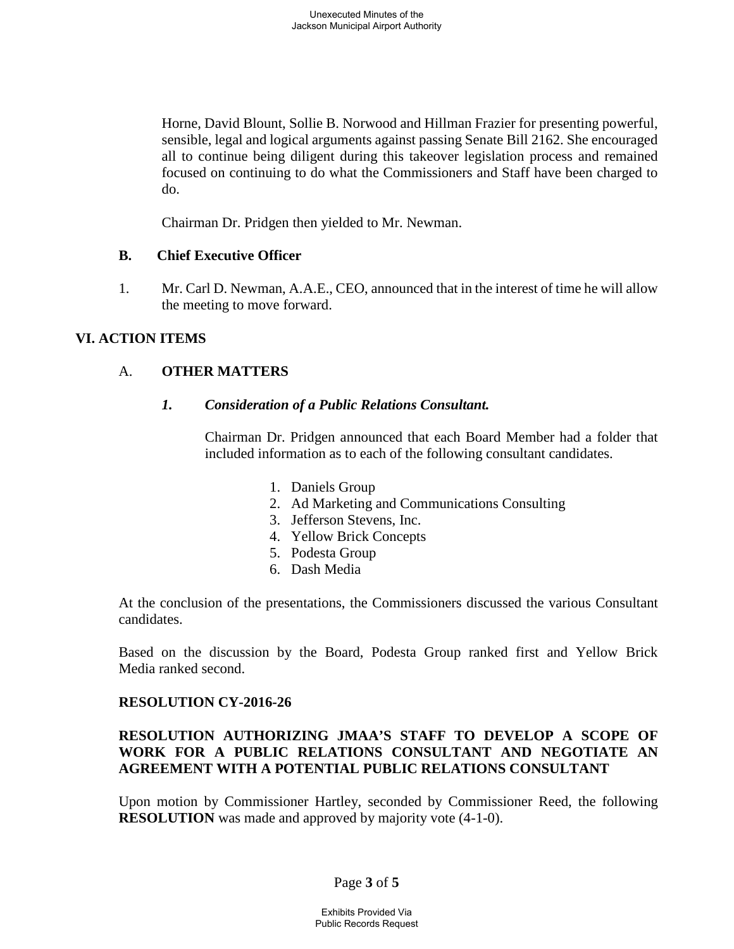Horne, David Blount, Sollie B. Norwood and Hillman Frazier for presenting powerful, sensible, legal and logical arguments against passing Senate Bill 2162. She encouraged all to continue being diligent during this takeover legislation process and remained focused on continuing to do what the Commissioners and Staff have been charged to do.

Chairman Dr. Pridgen then yielded to Mr. Newman.

### **B. Chief Executive Officer**

1. Mr. Carl D. Newman, A.A.E., CEO, announced that in the interest of time he will allow the meeting to move forward.

# **VI. ACTION ITEMS**

# A. **OTHER MATTERS**

### *1. Consideration of a Public Relations Consultant.*

Chairman Dr. Pridgen announced that each Board Member had a folder that included information as to each of the following consultant candidates.

- 1. Daniels Group
- 2. Ad Marketing and Communications Consulting
- 3. Jefferson Stevens, Inc.
- 4. Yellow Brick Concepts
- 5. Podesta Group
- 6. Dash Media

At the conclusion of the presentations, the Commissioners discussed the various Consultant candidates.

Based on the discussion by the Board, Podesta Group ranked first and Yellow Brick Media ranked second.

### **RESOLUTION CY-2016-26**

## **RESOLUTION AUTHORIZING JMAA'S STAFF TO DEVELOP A SCOPE OF WORK FOR A PUBLIC RELATIONS CONSULTANT AND NEGOTIATE AN AGREEMENT WITH A POTENTIAL PUBLIC RELATIONS CONSULTANT**

Upon motion by Commissioner Hartley, seconded by Commissioner Reed, the following **RESOLUTION** was made and approved by majority vote  $(4-1-0)$ .

# Page **3** of **5**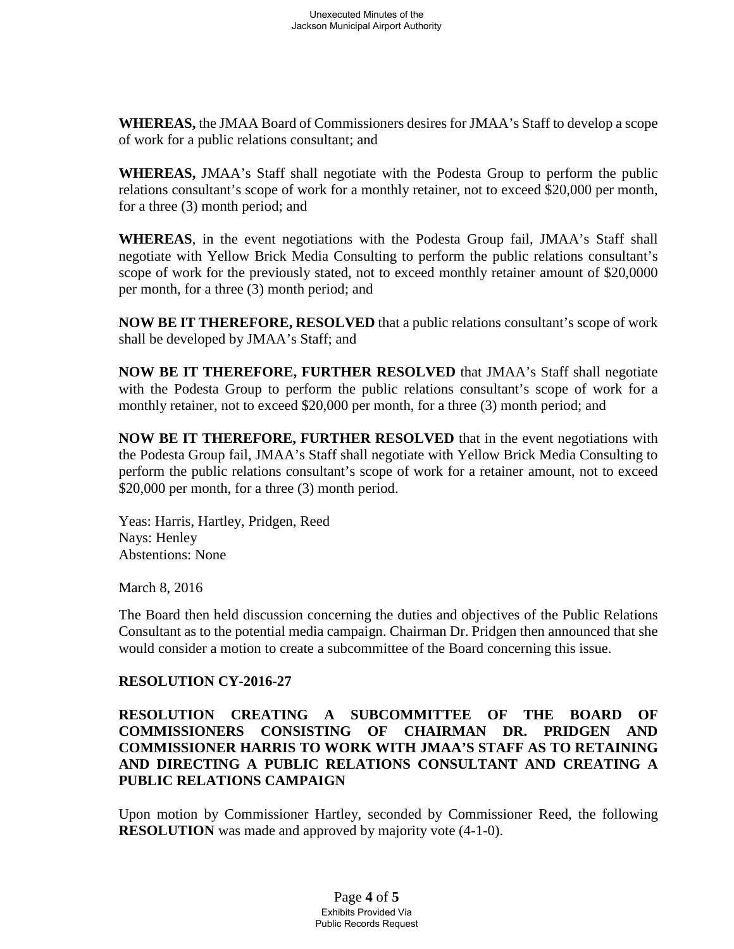**WHEREAS,** the JMAA Board of Commissioners desires for JMAA's Staff to develop a scope of work for a public relations consultant; and

**WHEREAS,** JMAA's Staff shall negotiate with the Podesta Group to perform the public relations consultant's scope of work for a monthly retainer, not to exceed \$20,000 per month, for a three (3) month period; and

**WHEREAS**, in the event negotiations with the Podesta Group fail, JMAA's Staff shall negotiate with Yellow Brick Media Consulting to perform the public relations consultant's scope of work for the previously stated, not to exceed monthly retainer amount of \$20,0000 per month, for a three (3) month period; and

**NOW BE IT THEREFORE, RESOLVED** that a public relations consultant's scope of work shall be developed by JMAA's Staff; and

**NOW BE IT THEREFORE, FURTHER RESOLVED** that JMAA's Staff shall negotiate with the Podesta Group to perform the public relations consultant's scope of work for a monthly retainer, not to exceed \$20,000 per month, for a three (3) month period; and

**NOW BE IT THEREFORE, FURTHER RESOLVED** that in the event negotiations with the Podesta Group fail, JMAA's Staff shall negotiate with Yellow Brick Media Consulting to perform the public relations consultant's scope of work for a retainer amount, not to exceed \$20,000 per month, for a three (3) month period.

Yeas: Harris, Hartley, Pridgen, Reed Nays: Henley Abstentions: None

March 8, 2016

The Board then held discussion concerning the duties and objectives of the Public Relations Consultant as to the potential media campaign. Chairman Dr. Pridgen then announced that she would consider a motion to create a subcommittee of the Board concerning this issue.

### **RESOLUTION CY-2016-27**

**RESOLUTION CREATING A SUBCOMMITTEE OF THE BOARD OF COMMISSIONERS CONSISTING OF CHAIRMAN DR. PRIDGEN AND COMMISSIONER HARRIS TO WORK WITH JMAA'S STAFF AS TO RETAINING AND DIRECTING A PUBLIC RELATIONS CONSULTANT AND CREATING A PUBLIC RELATIONS CAMPAIGN**

Upon motion by Commissioner Hartley, seconded by Commissioner Reed, the following **RESOLUTION** was made and approved by majority vote  $(4-1-0)$ .

> Page **4** of **5** Exhibits Provided Via Public Records Request